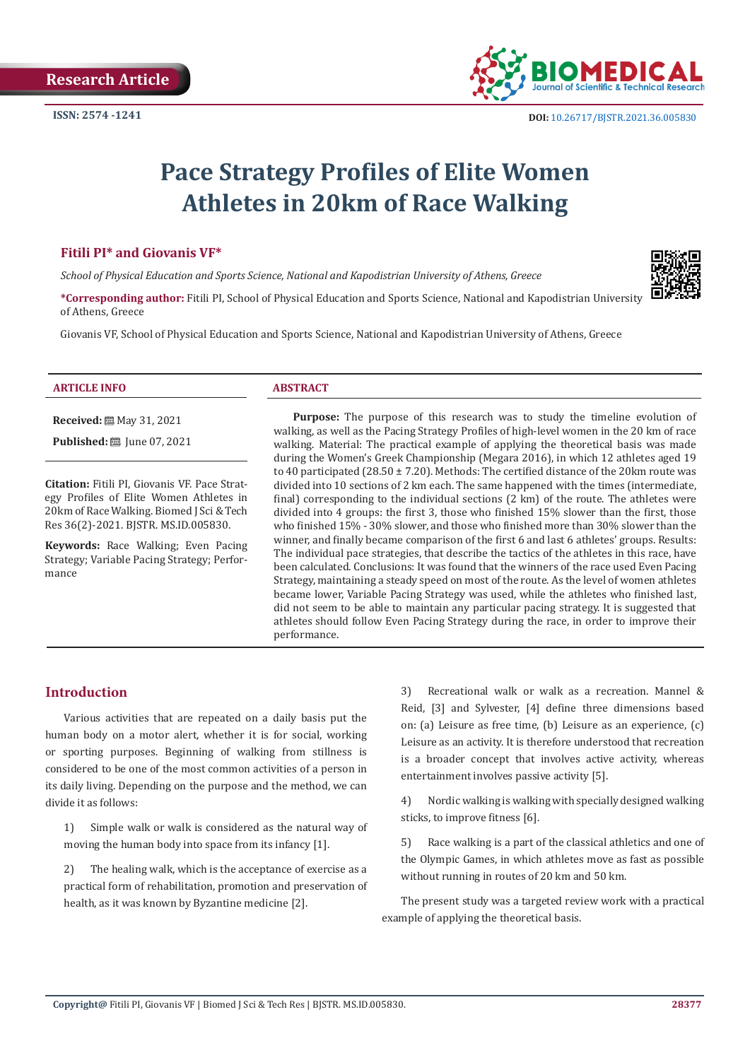

# **Pace Strategy Profiles of Elite Women Athletes in 20km of Race Walking**

# **Fitili PI\* and Giovanis VF\***

*School of Physical Education and Sports Science, National and Kapodistrian University of Athens, Greece*

**\*Corresponding author:** Fitili PI, School of Physical Education and Sports Science, National and Kapodistrian University of Athens, Greece

Giovanis VF, School of Physical Education and Sports Science, National and Kapodistrian University of Athens, Greece

#### **ARTICLE INFO ABSTRACT**

**Received:** 圖 May 31, 2021

**Published:** ■ June 07, 2021

**Citation:** Fitili PI, Giovanis VF. Pace Strategy Profiles of Elite Women Athletes in 20km of Race Walking. Biomed J Sci & Tech Res 36(2)-2021. BJSTR. MS.ID.005830.

**Keywords:** Race Walking; Even Pacing Strategy; Variable Pacing Strategy; Performance

**Purpose:** The purpose of this research was to study the timeline evolution of walking, as well as the Pacing Strategy Profiles of high-level women in the 20 km of race walking. Material: The practical example of applying the theoretical basis was made during the Women's Greek Championship (Megara 2016), in which 12 athletes aged 19 to 40 participated (28.50  $\pm$  7.20). Methods: The certified distance of the 20km route was divided into 10 sections of 2 km each. The same happened with the times (intermediate, final) corresponding to the individual sections (2 km) of the route. The athletes were divided into 4 groups: the first 3, those who finished 15% slower than the first, those who finished 15% - 30% slower, and those who finished more than 30% slower than the winner, and finally became comparison of the first 6 and last 6 athletes' groups. Results: The individual pace strategies, that describe the tactics of the athletes in this race, have been calculated. Conclusions: It was found that the winners of the race used Even Pacing Strategy, maintaining a steady speed on most of the route. As the level of women athletes became lower, Variable Pacing Strategy was used, while the athletes who finished last, did not seem to be able to maintain any particular pacing strategy. It is suggested that athletes should follow Even Pacing Strategy during the race, in order to improve their performance.

# **Introduction**

Various activities that are repeated on a daily basis put the human body on a motor alert, whether it is for social, working or sporting purposes. Beginning of walking from stillness is considered to be one of the most common activities of a person in its daily living. Depending on the purpose and the method, we can divide it as follows:

1) Simple walk or walk is considered as the natural way of moving the human body into space from its infancy [1].

2) The healing walk, which is the acceptance of exercise as a practical form of rehabilitation, promotion and preservation of health, as it was known by Byzantine medicine [2].

3) Recreational walk or walk as a recreation. Mannel & Reid, [3] and Sylvester, [4] define three dimensions based on: (a) Leisure as free time, (b) Leisure as an experience, (c) Leisure as an activity. It is therefore understood that recreation is a broader concept that involves active activity, whereas entertainment involves passive activity [5].

4) Nordic walking is walking with specially designed walking sticks, to improve fitness [6].

5) Race walking is a part of the classical athletics and one of the Olympic Games, in which athletes move as fast as possible without running in routes of 20 km and 50 km.

The present study was a targeted review work with a practical example of applying the theoretical basis.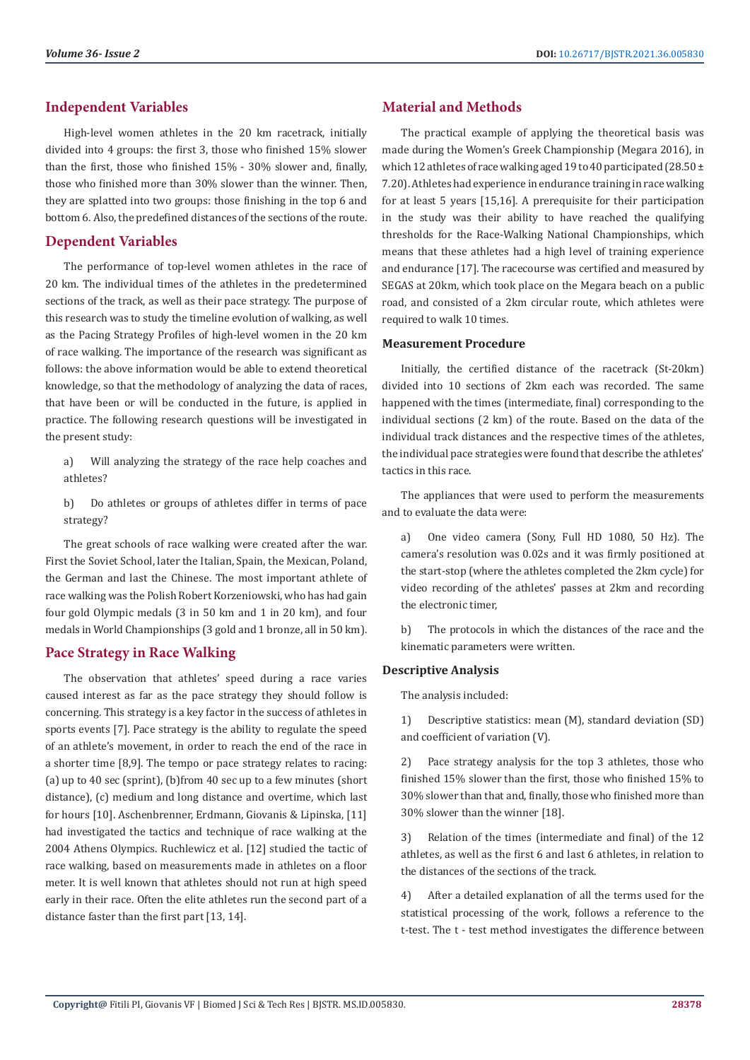# **Independent Variables**

High-level women athletes in the 20 km racetrack, initially divided into 4 groups: the first 3, those who finished 15% slower than the first, those who finished 15% - 30% slower and, finally, those who finished more than 30% slower than the winner. Then, they are splatted into two groups: those finishing in the top 6 and bottom 6. Also, the predefined distances of the sections of the route.

# **Dependent Variables**

The performance of top-level women athletes in the race of 20 km. The individual times of the athletes in the predetermined sections of the track, as well as their pace strategy. The purpose of this research was to study the timeline evolution of walking, as well as the Pacing Strategy Profiles of high-level women in the 20 km of race walking. The importance of the research was significant as follows: the above information would be able to extend theoretical knowledge, so that the methodology of analyzing the data of races, that have been or will be conducted in the future, is applied in practice. The following research questions will be investigated in the present study:

a) Will analyzing the strategy of the race help coaches and athletes?

b) Do athletes or groups of athletes differ in terms of pace strategy?

The great schools of race walking were created after the war. First the Soviet School, later the Italian, Spain, the Mexican, Poland, the German and last the Chinese. The most important athlete of race walking was the Polish Robert Korzeniowski, who has had gain four gold Olympic medals (3 in 50 km and 1 in 20 km), and four medals in World Championships (3 gold and 1 bronze, all in 50 km).

# **Pace Strategy in Race Walking**

The observation that athletes' speed during a race varies caused interest as far as the pace strategy they should follow is concerning. This strategy is a key factor in the success of athletes in sports events [7]. Pace strategy is the ability to regulate the speed of an athlete's movement, in order to reach the end of the race in a shorter time [8,9]. The tempo or pace strategy relates to racing: (a) up to 40 sec (sprint), (b)from 40 sec up to a few minutes (short distance), (c) medium and long distance and overtime, which last for hours [10]. Aschenbrenner, Erdmann, Giovanis & Lipinska, [11] had investigated the tactics and technique of race walking at the 2004 Athens Olympics. Ruchlewicz et al. [12] studied the tactic of race walking, based on measurements made in athletes on a floor meter. It is well known that athletes should not run at high speed early in their race. Often the elite athletes run the second part of a distance faster than the first part [13, 14].

# **Material and Methods**

The practical example of applying the theoretical basis was made during the Women's Greek Championship (Megara 2016), in which 12 athletes of race walking aged 19 to 40 participated (28.50 ± 7.20). Athletes had experience in endurance training in race walking for at least 5 years [15,16]. A prerequisite for their participation in the study was their ability to have reached the qualifying thresholds for the Race-Walking National Championships, which means that these athletes had a high level of training experience and endurance [17]. The racecourse was certified and measured by SEGAS at 20km, which took place on the Megara beach on a public road, and consisted of a 2km circular route, which athletes were required to walk 10 times.

#### **Measurement Procedure**

Initially, the certified distance of the racetrack (St-20km) divided into 10 sections of 2km each was recorded. The same happened with the times (intermediate, final) corresponding to the individual sections (2 km) of the route. Based on the data of the individual track distances and the respective times of the athletes, the individual pace strategies were found that describe the athletes' tactics in this race.

The appliances that were used to perform the measurements and to evaluate the data were:

a) One video camera (Sony, Full HD 1080, 50 Hz). The camera's resolution was 0.02s and it was firmly positioned at the start-stop (where the athletes completed the 2km cycle) for video recording of the athletes' passes at 2km and recording the electronic timer,

b) The protocols in which the distances of the race and the kinematic parameters were written.

### **Descriptive Analysis**

The analysis included:

1) Descriptive statistics: mean (M), standard deviation (SD) and coefficient of variation (V).

2) Pace strategy analysis for the top 3 athletes, those who finished 15% slower than the first, those who finished 15% to 30% slower than that and, finally, those who finished more than 30% slower than the winner [18].

3) Relation of the times (intermediate and final) of the 12 athletes, as well as the first 6 and last 6 athletes, in relation to the distances of the sections of the track.

4) After a detailed explanation of all the terms used for the statistical processing of the work, follows a reference to the t-test. The t - test method investigates the difference between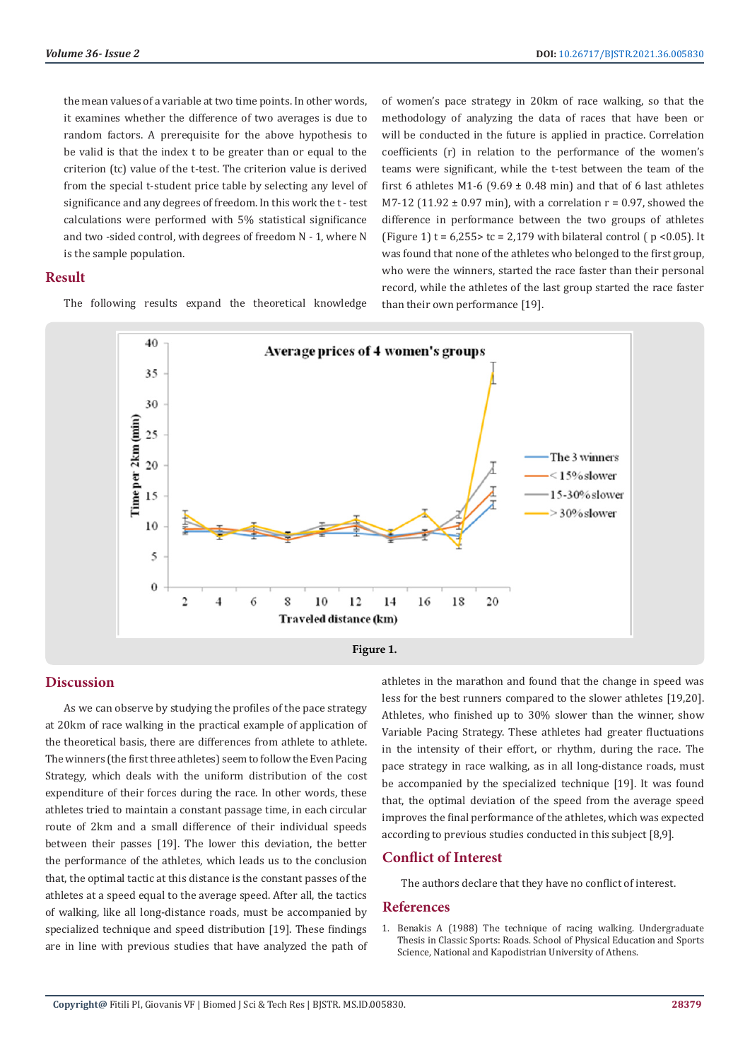the mean values of a variable at two time points. In other words, it examines whether the difference of two averages is due to random factors. A prerequisite for the above hypothesis to be valid is that the index t to be greater than or equal to the criterion (tc) value of the t-test. The criterion value is derived from the special t-student price table by selecting any level of significance and any degrees of freedom. In this work the t - test calculations were performed with 5% statistical significance and two -sided control, with degrees of freedom N - 1, where N is the sample population.

#### **Result**

The following results expand the theoretical knowledge

of women's pace strategy in 20km of race walking, so that the methodology of analyzing the data of races that have been or will be conducted in the future is applied in practice. Correlation coefficients (r) in relation to the performance of the women's teams were significant, while the t-test between the team of the first 6 athletes M1-6 (9.69  $\pm$  0.48 min) and that of 6 last athletes M7-12 (11.92  $\pm$  0.97 min), with a correlation  $r = 0.97$ , showed the difference in performance between the two groups of athletes (Figure 1)  $t = 6.255 > tc = 2.179$  with bilateral control ( $p < 0.05$ ). It was found that none of the athletes who belonged to the first group, who were the winners, started the race faster than their personal record, while the athletes of the last group started the race faster than their own performance [19].



# **Discussion**

As we can observe by studying the profiles of the pace strategy at 20km of race walking in the practical example of application of the theoretical basis, there are differences from athlete to athlete. The winners (the first three athletes) seem to follow the Even Pacing Strategy, which deals with the uniform distribution of the cost expenditure of their forces during the race. In other words, these athletes tried to maintain a constant passage time, in each circular route of 2km and a small difference of their individual speeds between their passes [19]. The lower this deviation, the better the performance of the athletes, which leads us to the conclusion that, the optimal tactic at this distance is the constant passes of the athletes at a speed equal to the average speed. After all, the tactics of walking, like all long-distance roads, must be accompanied by specialized technique and speed distribution [19]. These findings are in line with previous studies that have analyzed the path of athletes in the marathon and found that the change in speed was less for the best runners compared to the slower athletes [19,20]. Athletes, who finished up to 30% slower than the winner, show Variable Pacing Strategy. These athletes had greater fluctuations in the intensity of their effort, or rhythm, during the race. The pace strategy in race walking, as in all long-distance roads, must be accompanied by the specialized technique [19]. It was found that, the optimal deviation of the speed from the average speed improves the final performance of the athletes, which was expected according to previous studies conducted in this subject [8,9].

#### **Conflict of Interest**

The authors declare that they have no conflict of interest.

#### **References**

1. Benakis Α (1988) The technique of racing walking. Undergraduate Thesis in Classic Sports: Roads. School of Physical Education and Sports Science, National and Kapodistrian University of Athens.